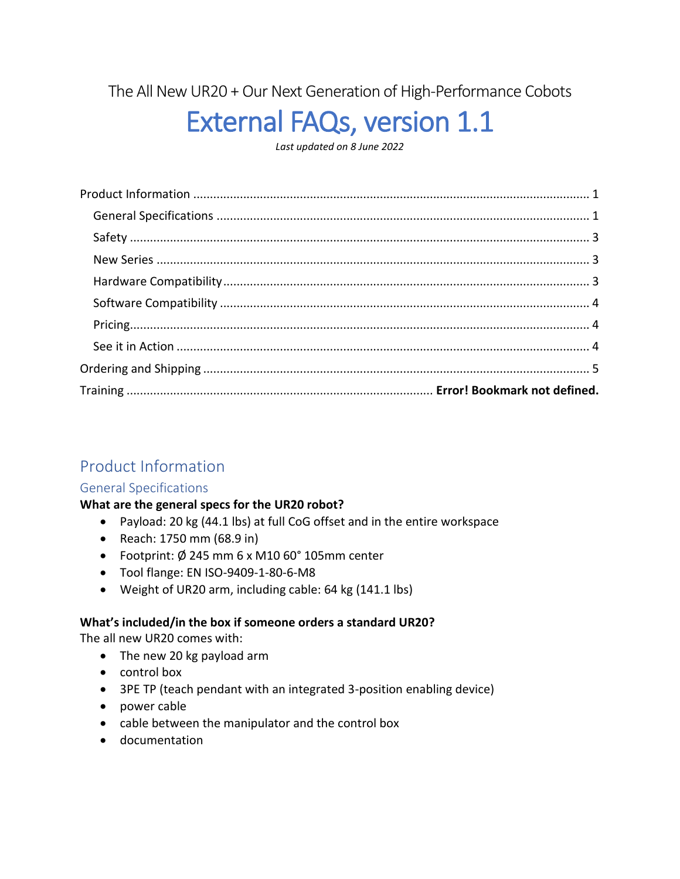The All New UR20 + Our Next Generation of High-Performance Cobots

# External FAQs, version 1.1

*Last updated on 8 June 2022*

# <span id="page-0-0"></span>Product Information

## <span id="page-0-1"></span>General Specifications

## **What are the general specs for the UR20 robot?**

- Payload: 20 kg (44.1 lbs) at full CoG offset and in the entire workspace
- Reach: 1750 mm (68.9 in)
- Footprint: Ø 245 mm 6 x M10 60° 105mm center
- Tool flange: EN ISO-9409-1-80-6-M8
- Weight of UR20 arm, including cable: 64 kg (141.1 lbs)

## **What's included/in the box if someone orders a standard UR20?**

The all new UR20 comes with:

- The new 20 kg payload arm
- control box
- 3PE TP (teach pendant with an integrated 3-position enabling device)
- power cable
- cable between the manipulator and the control box
- documentation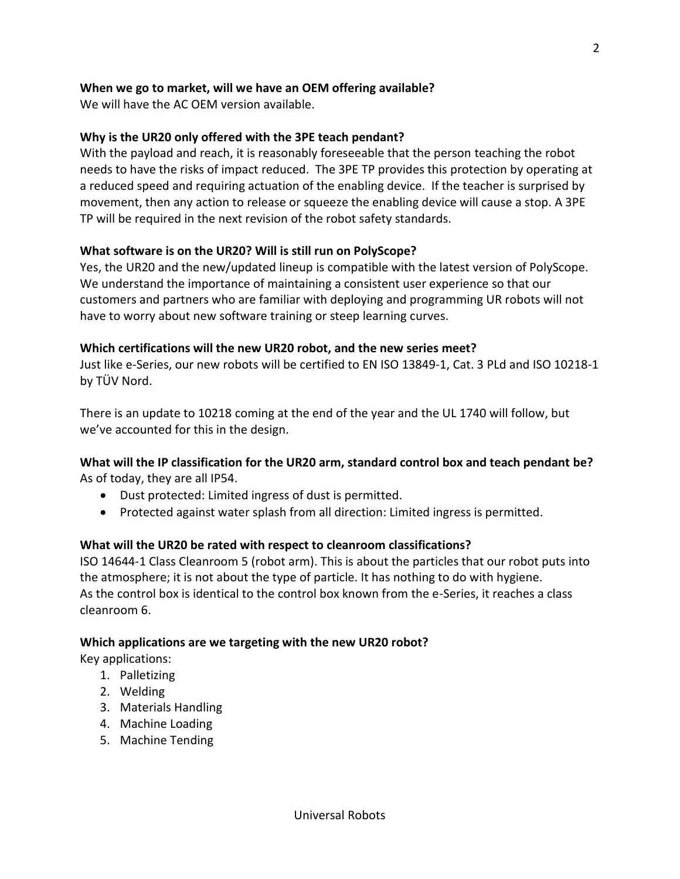## **When we go to market, will we have an OEM offering available?**

We will have the AC OEM version available.

## **Why is the UR20 only offered with the 3PE teach pendant?**

With the payload and reach, it is reasonably foreseeable that the person teaching the robot needs to have the risks of impact reduced. The 3PE TP provides this protection by operating at a reduced speed and requiring actuation of the enabling device. If the teacher is surprised by movement, then any action to release or squeeze the enabling device will cause a stop. A 3PE TP will be required in the next revision of the robot safety standards.

## **What software is on the UR20? Will is still run on PolyScope?**

Yes, the UR20 and the new/updated lineup is compatible with the latest version of PolyScope. We understand the importance of maintaining a consistent user experience so that our customers and partners who are familiar with deploying and programming UR robots will not have to worry about new software training or steep learning curves.

## **Which certifications will the new UR20 robot, and the new series meet?**

Just like e-Series, our new robots will be certified to EN ISO 13849-1, Cat. 3 PLd and ISO 10218-1 by TÜV Nord.

There is an update to 10218 coming at the end of the year and the UL 1740 will follow, but we've accounted for this in the design.

## **What will the IP classification for the UR20 arm, standard control box and teach pendant be?** As of today, they are all IP54.

- Dust protected: Limited ingress of dust is permitted.
- Protected against water splash from all direction: Limited ingress is permitted.

## **What will the UR20 be rated with respect to cleanroom classifications?**

ISO 14644-1 Class Cleanroom 5 (robot arm). This is about the particles that our robot puts into the atmosphere; it is not about the type of particle. It has nothing to do with hygiene. As the control box is identical to the control box known from the e-Series, it reaches a class cleanroom 6.

## **Which applications are we targeting with the new UR20 robot?**

Key applications:

- 1. Palletizing
- 2. Welding
- 3. Materials Handling
- 4. Machine Loading
- 5. Machine Tending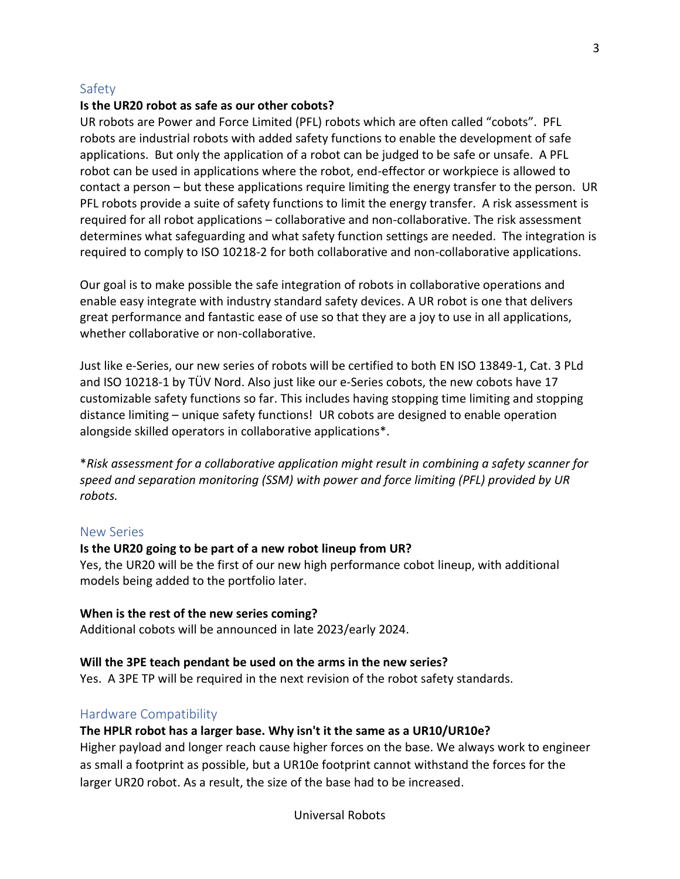#### <span id="page-2-0"></span>Safety

#### **Is the UR20 robot as safe as our other cobots?**

UR robots are Power and Force Limited (PFL) robots which are often called "cobots". PFL robots are industrial robots with added safety functions to enable the development of safe applications. But only the application of a robot can be judged to be safe or unsafe. A PFL robot can be used in applications where the robot, end-effector or workpiece is allowed to contact a person – but these applications require limiting the energy transfer to the person. UR PFL robots provide a suite of safety functions to limit the energy transfer. A risk assessment is required for all robot applications – collaborative and non-collaborative. The risk assessment determines what safeguarding and what safety function settings are needed. The integration is required to comply to ISO 10218-2 for both collaborative and non-collaborative applications.

Our goal is to make possible the safe integration of robots in collaborative operations and enable easy integrate with industry standard safety devices. A UR robot is one that delivers great performance and fantastic ease of use so that they are a joy to use in all applications, whether collaborative or non-collaborative.

Just like e-Series, our new series of robots will be certified to both EN ISO 13849-1, Cat. 3 PLd and ISO 10218-1 by TÜV Nord. Also just like our e-Series cobots, the new cobots have 17 customizable safety functions so far. This includes having stopping time limiting and stopping distance limiting – unique safety functions! UR cobots are designed to enable operation alongside skilled operators in collaborative applications\*.

\**Risk assessment for a collaborative application might result in combining a safety scanner for speed and separation monitoring (SSM) with power and force limiting (PFL) provided by UR robots.*

#### <span id="page-2-1"></span>New Series

#### **Is the UR20 going to be part of a new robot lineup from UR?**

Yes, the UR20 will be the first of our new high performance cobot lineup, with additional models being added to the portfolio later.

#### **When is the rest of the new series coming?**

Additional cobots will be announced in late 2023/early 2024.

#### **Will the 3PE teach pendant be used on the arms in the new series?**

Yes. A 3PE TP will be required in the next revision of the robot safety standards.

#### <span id="page-2-2"></span>Hardware Compatibility

#### **The HPLR robot has a larger base. Why isn't it the same as a UR10/UR10e?**

Higher payload and longer reach cause higher forces on the base. We always work to engineer as small a footprint as possible, but a UR10e footprint cannot withstand the forces for the larger UR20 robot. As a result, the size of the base had to be increased.

Universal Robots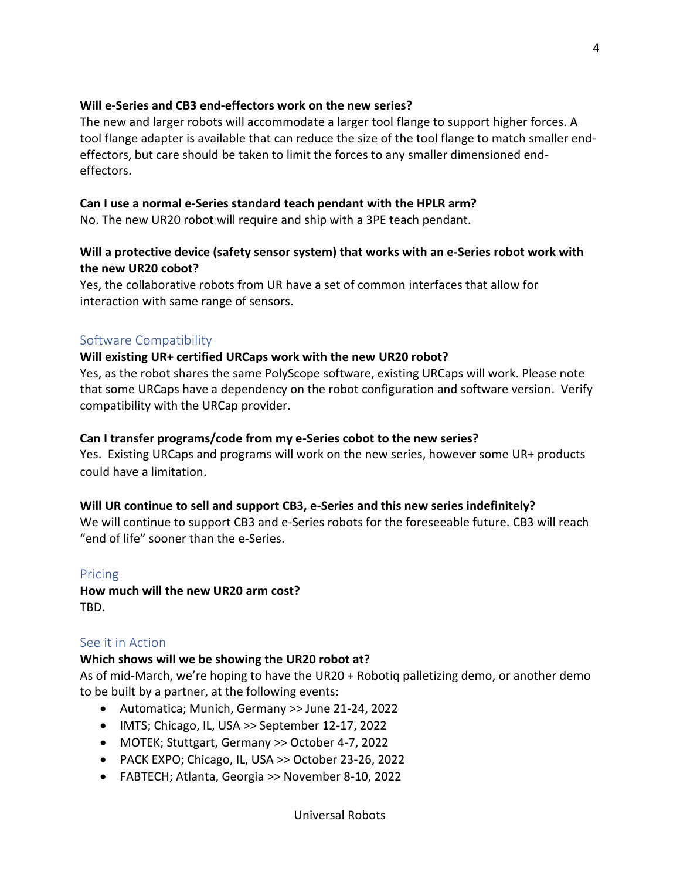## **Will e-Series and CB3 end-effectors work on the new series?**

The new and larger robots will accommodate a larger tool flange to support higher forces. A tool flange adapter is available that can reduce the size of the tool flange to match smaller endeffectors, but care should be taken to limit the forces to any smaller dimensioned endeffectors.

## **Can I use a normal e-Series standard teach pendant with the HPLR arm?**

No. The new UR20 robot will require and ship with a 3PE teach pendant.

## **Will a protective device (safety sensor system) that works with an e-Series robot work with the new UR20 cobot?**

Yes, the collaborative robots from UR have a set of common interfaces that allow for interaction with same range of sensors.

## <span id="page-3-0"></span>Software Compatibility

## **Will existing UR+ certified URCaps work with the new UR20 robot?**

Yes, as the robot shares the same PolyScope software, existing URCaps will work. Please note that some URCaps have a dependency on the robot configuration and software version. Verify compatibility with the URCap provider.

## **Can I transfer programs/code from my e-Series cobot to the new series?**

Yes. Existing URCaps and programs will work on the new series, however some UR+ products could have a limitation.

## **Will UR continue to sell and support CB3, e-Series and this new series indefinitely?**

We will continue to support CB3 and e-Series robots for the foreseeable future. CB3 will reach "end of life" sooner than the e-Series.

## <span id="page-3-1"></span>Pricing

**How much will the new UR20 arm cost?** TBD.

## <span id="page-3-2"></span>See it in Action

## **Which shows will we be showing the UR20 robot at?**

As of mid-March, we're hoping to have the UR20 + Robotiq palletizing demo, or another demo to be built by a partner, at the following events:

- Automatica; Munich, Germany >> June 21-24, 2022
- IMTS; Chicago, IL, USA >> September 12-17, 2022
- MOTEK; Stuttgart, Germany >> October 4-7, 2022
- PACK EXPO; Chicago, IL, USA >> October 23-26, 2022
- FABTECH; Atlanta, Georgia >> November 8-10, 2022

4